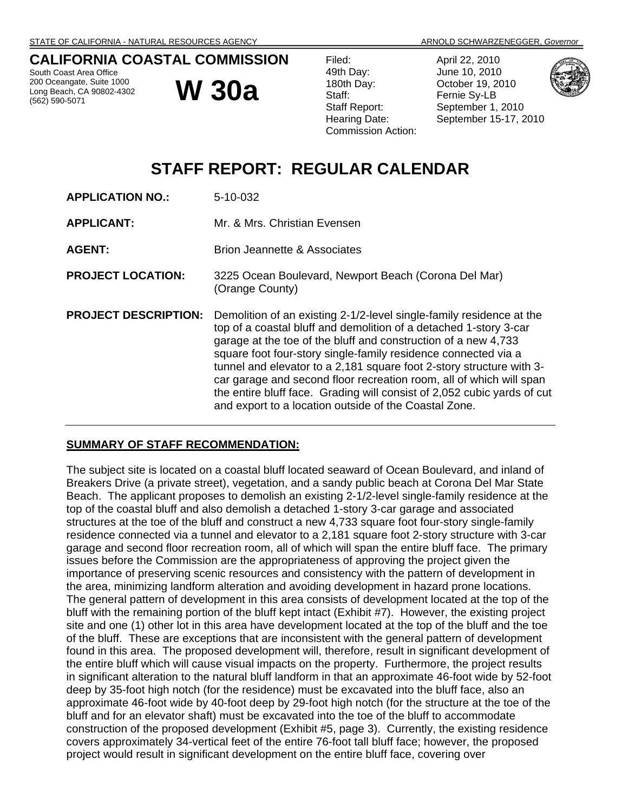# **CALIFORNIA COASTAL COMMISSION**

South Coast Area Office 200 Oceangate, Suite 1000 Long Beach, CA 90802-4302 (562) 590-5071

**W 30a** 

| Filed:                    | April 22, 2010 |
|---------------------------|----------------|
| 49th Day:                 | June 10, 2010  |
| 180th Day:                | October 19, 20 |
| Staff:                    | Fernie Sy-LB   |
| <b>Staff Report:</b>      | September 1,   |
| Hearing Date:             | September 15   |
| <b>Commission Action:</b> |                |





# **STAFF REPORT: REGULAR CALENDAR**

| <b>APPLICATION NO.:</b>     | 5-10-032                                                                                                                                                                                                                                                                                                                                                                                                                                                                                                                                                         |
|-----------------------------|------------------------------------------------------------------------------------------------------------------------------------------------------------------------------------------------------------------------------------------------------------------------------------------------------------------------------------------------------------------------------------------------------------------------------------------------------------------------------------------------------------------------------------------------------------------|
| <b>APPLICANT:</b>           | Mr. & Mrs. Christian Evensen                                                                                                                                                                                                                                                                                                                                                                                                                                                                                                                                     |
| <b>AGENT:</b>               | Brion Jeannette & Associates                                                                                                                                                                                                                                                                                                                                                                                                                                                                                                                                     |
| <b>PROJECT LOCATION:</b>    | 3225 Ocean Boulevard, Newport Beach (Corona Del Mar)<br>(Orange County)                                                                                                                                                                                                                                                                                                                                                                                                                                                                                          |
| <b>PROJECT DESCRIPTION:</b> | Demolition of an existing 2-1/2-level single-family residence at the<br>top of a coastal bluff and demolition of a detached 1-story 3-car<br>garage at the toe of the bluff and construction of a new 4,733<br>square foot four-story single-family residence connected via a<br>tunnel and elevator to a 2,181 square foot 2-story structure with 3-<br>car garage and second floor recreation room, all of which will span<br>the entire bluff face. Grading will consist of 2,052 cubic yards of cut<br>and export to a location outside of the Coastal Zone. |

# **SUMMARY OF STAFF RECOMMENDATION:**

The subject site is located on a coastal bluff located seaward of Ocean Boulevard, and inland of Breakers Drive (a private street), vegetation, and a sandy public beach at Corona Del Mar State Beach. The applicant proposes to demolish an existing 2-1/2-level single-family residence at the top of the coastal bluff and also demolish a detached 1-story 3-car garage and associated structures at the toe of the bluff and construct a new 4,733 square foot four-story single-family residence connected via a tunnel and elevator to a 2,181 square foot 2-story structure with 3-car garage and second floor recreation room, all of which will span the entire bluff face. The primary issues before the Commission are the appropriateness of approving the project given the importance of preserving scenic resources and consistency with the pattern of development in the area, minimizing landform alteration and avoiding development in hazard prone locations. The general pattern of development in this area consists of development located at the top of the bluff with the remaining portion of the bluff kept intact (Exhibit #7). However, the existing project site and one (1) other lot in this area have development located at the top of the bluff and the toe of the bluff. These are exceptions that are inconsistent with the general pattern of development found in this area. The proposed development will, therefore, result in significant development of the entire bluff which will cause visual impacts on the property. Furthermore, the project results in significant alteration to the natural bluff landform in that an approximate 46-foot wide by 52-foot deep by 35-foot high notch (for the residence) must be excavated into the bluff face, also an approximate 46-foot wide by 40-foot deep by 29-foot high notch (for the structure at the toe of the bluff and for an elevator shaft) must be excavated into the toe of the bluff to accommodate construction of the proposed development (Exhibit #5, page 3). Currently, the existing residence covers approximately 34-vertical feet of the entire 76-foot tall bluff face; however, the proposed project would result in significant development on the entire bluff face, covering over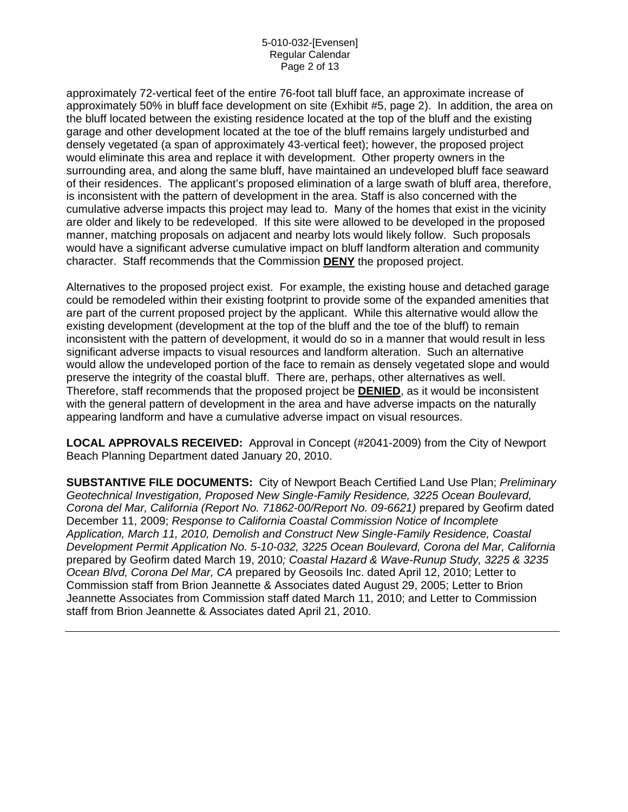approximately 72-vertical feet of the entire 76-foot tall bluff face, an approximate increase of approximately 50% in bluff face development on site (Exhibit #5, page 2). In addition, the area on the bluff located between the existing residence located at the top of the bluff and the existing garage and other development located at the toe of the bluff remains largely undisturbed and densely vegetated (a span of approximately 43-vertical feet); however, the proposed project would eliminate this area and replace it with development. Other property owners in the surrounding area, and along the same bluff, have maintained an undeveloped bluff face seaward of their residences. The applicant's proposed elimination of a large swath of bluff area, therefore, is inconsistent with the pattern of development in the area. Staff is also concerned with the cumulative adverse impacts this project may lead to. Many of the homes that exist in the vicinity are older and likely to be redeveloped. If this site were allowed to be developed in the proposed manner, matching proposals on adjacent and nearby lots would likely follow. Such proposals would have a significant adverse cumulative impact on bluff landform alteration and community character. Staff recommends that the Commission **DENY** the proposed project.

Alternatives to the proposed project exist. For example, the existing house and detached garage could be remodeled within their existing footprint to provide some of the expanded amenities that are part of the current proposed project by the applicant. While this alternative would allow the existing development (development at the top of the bluff and the toe of the bluff) to remain inconsistent with the pattern of development, it would do so in a manner that would result in less significant adverse impacts to visual resources and landform alteration. Such an alternative would allow the undeveloped portion of the face to remain as densely vegetated slope and would preserve the integrity of the coastal bluff. There are, perhaps, other alternatives as well. Therefore, staff recommends that the proposed project be **DENIED**, as it would be inconsistent with the general pattern of development in the area and have adverse impacts on the naturally appearing landform and have a cumulative adverse impact on visual resources.

**LOCAL APPROVALS RECEIVED:** Approval in Concept (#2041-2009) from the City of Newport Beach Planning Department dated January 20, 2010.

**SUBSTANTIVE FILE DOCUMENTS:** City of Newport Beach Certified Land Use Plan; *Preliminary Geotechnical Investigation, Proposed New Single-Family Residence, 3225 Ocean Boulevard,*  Corona del Mar, California (Report No. 71862-00/Report No. 09-6621) prepared by Geofirm dated December 11, 2009; *Response to California Coastal Commission Notice of Incomplete Application, March 11, 2010, Demolish and Construct New Single-Family Residence, Coastal Development Permit Application No. 5-10-032, 3225 Ocean Boulevard, Corona del Mar, California*  prepared by Geofirm dated March 19, 2010*; Coastal Hazard & Wave-Runup Study, 3225 & 3235 Ocean Blvd, Corona Del Mar, CA* prepared by Geosoils Inc. dated April 12, 2010; Letter to Commission staff from Brion Jeannette & Associates dated August 29, 2005; Letter to Brion Jeannette Associates from Commission staff dated March 11, 2010; and Letter to Commission staff from Brion Jeannette & Associates dated April 21, 2010.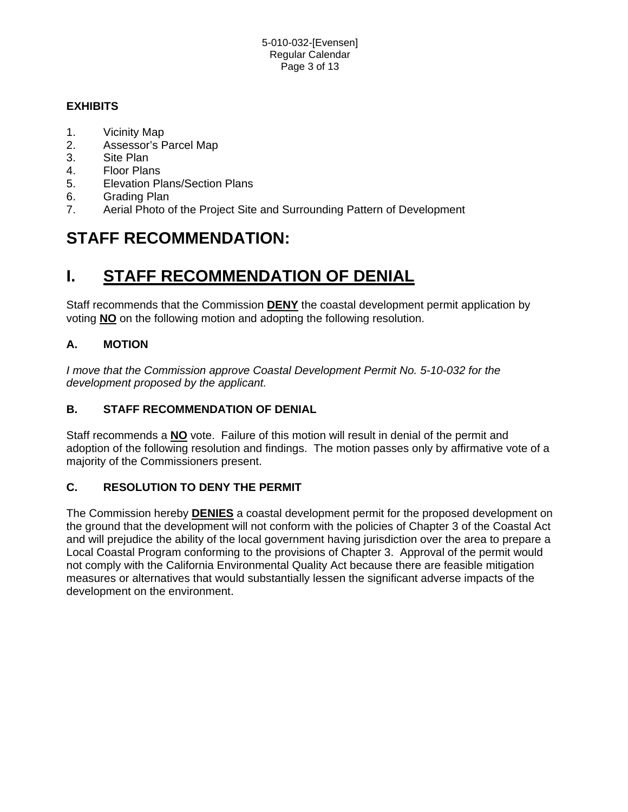# **EXHIBITS**

- 1. Vicinity Map
- 2. Assessor's Parcel Map
- 3. Site Plan
- 4. Floor Plans
- 5. Elevation Plans/Section Plans
- 6. Grading Plan
- 7. Aerial Photo of the Project Site and Surrounding Pattern of Development

# **STAFF RECOMMENDATION:**

# **I. STAFF RECOMMENDATION OF DENIAL**

Staff recommends that the Commission **DENY** the coastal development permit application by voting **NO** on the following motion and adopting the following resolution.

# **A. MOTION**

*I move that the Commission approve Coastal Development Permit No. 5-10-032 for the development proposed by the applicant.*

# **B. STAFF RECOMMENDATION OF DENIAL**

Staff recommends a **NO** vote. Failure of this motion will result in denial of the permit and adoption of the following resolution and findings. The motion passes only by affirmative vote of a majority of the Commissioners present.

# **C. RESOLUTION TO DENY THE PERMIT**

The Commission hereby **DENIES** a coastal development permit for the proposed development on the ground that the development will not conform with the policies of Chapter 3 of the Coastal Act and will prejudice the ability of the local government having jurisdiction over the area to prepare a Local Coastal Program conforming to the provisions of Chapter 3. Approval of the permit would not comply with the California Environmental Quality Act because there are feasible mitigation measures or alternatives that would substantially lessen the significant adverse impacts of the development on the environment.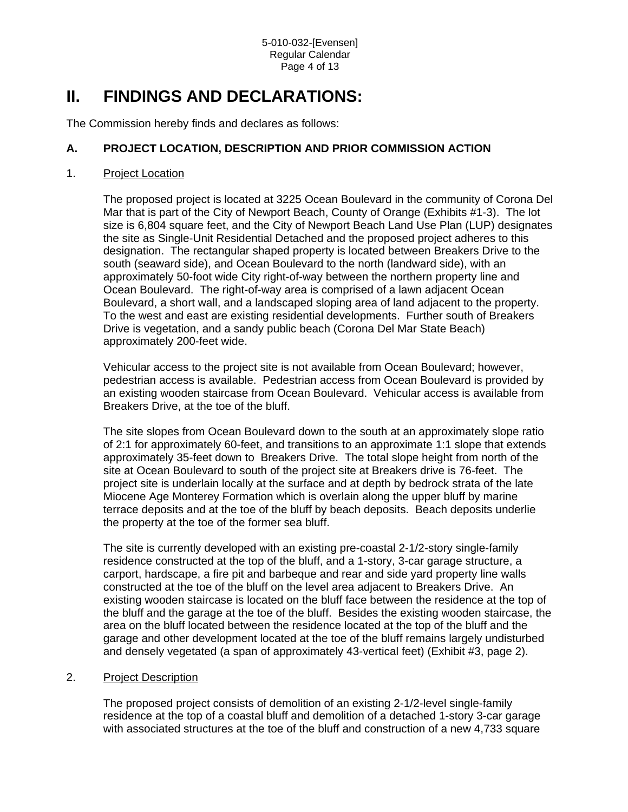# **II. FINDINGS AND DECLARATIONS:**

The Commission hereby finds and declares as follows:

# **A. PROJECT LOCATION, DESCRIPTION AND PRIOR COMMISSION ACTION**

## 1. Project Location

The proposed project is located at 3225 Ocean Boulevard in the community of Corona Del Mar that is part of the City of Newport Beach, County of Orange (Exhibits #1-3). The lot size is 6,804 square feet, and the City of Newport Beach Land Use Plan (LUP) designates the site as Single-Unit Residential Detached and the proposed project adheres to this designation. The rectangular shaped property is located between Breakers Drive to the south (seaward side), and Ocean Boulevard to the north (landward side), with an approximately 50-foot wide City right-of-way between the northern property line and Ocean Boulevard. The right-of-way area is comprised of a lawn adjacent Ocean Boulevard, a short wall, and a landscaped sloping area of land adjacent to the property. To the west and east are existing residential developments. Further south of Breakers Drive is vegetation, and a sandy public beach (Corona Del Mar State Beach) approximately 200-feet wide.

Vehicular access to the project site is not available from Ocean Boulevard; however, pedestrian access is available. Pedestrian access from Ocean Boulevard is provided by an existing wooden staircase from Ocean Boulevard. Vehicular access is available from Breakers Drive, at the toe of the bluff.

The site slopes from Ocean Boulevard down to the south at an approximately slope ratio of 2:1 for approximately 60-feet, and transitions to an approximate 1:1 slope that extends approximately 35-feet down to Breakers Drive. The total slope height from north of the site at Ocean Boulevard to south of the project site at Breakers drive is 76-feet. The project site is underlain locally at the surface and at depth by bedrock strata of the late Miocene Age Monterey Formation which is overlain along the upper bluff by marine terrace deposits and at the toe of the bluff by beach deposits. Beach deposits underlie the property at the toe of the former sea bluff.

The site is currently developed with an existing pre-coastal 2-1/2-story single-family residence constructed at the top of the bluff, and a 1-story, 3-car garage structure, a carport, hardscape, a fire pit and barbeque and rear and side yard property line walls constructed at the toe of the bluff on the level area adjacent to Breakers Drive. An existing wooden staircase is located on the bluff face between the residence at the top of the bluff and the garage at the toe of the bluff. Besides the existing wooden staircase, the area on the bluff located between the residence located at the top of the bluff and the garage and other development located at the toe of the bluff remains largely undisturbed and densely vegetated (a span of approximately 43-vertical feet) (Exhibit #3, page 2).

# 2. Project Description

The proposed project consists of demolition of an existing 2-1/2-level single-family residence at the top of a coastal bluff and demolition of a detached 1-story 3-car garage with associated structures at the toe of the bluff and construction of a new 4,733 square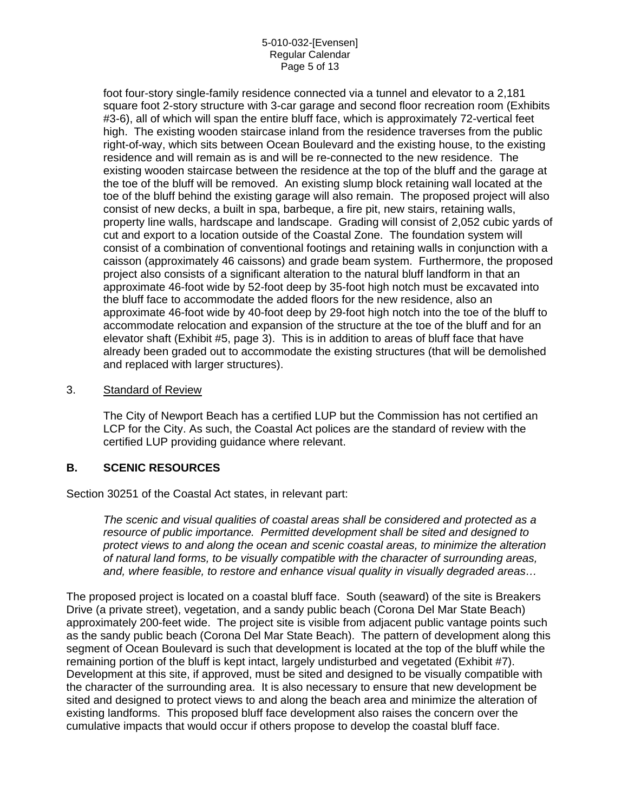#### 5-010-032-[Evensen] Regular Calendar Page 5 of 13

foot four-story single-family residence connected via a tunnel and elevator to a 2,181 square foot 2-story structure with 3-car garage and second floor recreation room (Exhibits #3-6), all of which will span the entire bluff face, which is approximately 72-vertical feet high. The existing wooden staircase inland from the residence traverses from the public right-of-way, which sits between Ocean Boulevard and the existing house, to the existing residence and will remain as is and will be re-connected to the new residence. The existing wooden staircase between the residence at the top of the bluff and the garage at the toe of the bluff will be removed. An existing slump block retaining wall located at the toe of the bluff behind the existing garage will also remain. The proposed project will also consist of new decks, a built in spa, barbeque, a fire pit, new stairs, retaining walls, property line walls, hardscape and landscape. Grading will consist of 2,052 cubic yards of cut and export to a location outside of the Coastal Zone. The foundation system will consist of a combination of conventional footings and retaining walls in conjunction with a caisson (approximately 46 caissons) and grade beam system. Furthermore, the proposed project also consists of a significant alteration to the natural bluff landform in that an approximate 46-foot wide by 52-foot deep by 35-foot high notch must be excavated into the bluff face to accommodate the added floors for the new residence, also an approximate 46-foot wide by 40-foot deep by 29-foot high notch into the toe of the bluff to accommodate relocation and expansion of the structure at the toe of the bluff and for an elevator shaft (Exhibit #5, page 3). This is in addition to areas of bluff face that have already been graded out to accommodate the existing structures (that will be demolished and replaced with larger structures).

## 3. Standard of Review

The City of Newport Beach has a certified LUP but the Commission has not certified an LCP for the City. As such, the Coastal Act polices are the standard of review with the certified LUP providing guidance where relevant.

# **B. SCENIC RESOURCES**

Section 30251 of the Coastal Act states, in relevant part:

*The scenic and visual qualities of coastal areas shall be considered and protected as a resource of public importance. Permitted development shall be sited and designed to protect views to and along the ocean and scenic coastal areas, to minimize the alteration of natural land forms, to be visually compatible with the character of surrounding areas, and, where feasible, to restore and enhance visual quality in visually degraded areas…* 

The proposed project is located on a coastal bluff face. South (seaward) of the site is Breakers Drive (a private street), vegetation, and a sandy public beach (Corona Del Mar State Beach) approximately 200-feet wide. The project site is visible from adjacent public vantage points such as the sandy public beach (Corona Del Mar State Beach). The pattern of development along this segment of Ocean Boulevard is such that development is located at the top of the bluff while the remaining portion of the bluff is kept intact, largely undisturbed and vegetated (Exhibit #7). Development at this site, if approved, must be sited and designed to be visually compatible with the character of the surrounding area. It is also necessary to ensure that new development be sited and designed to protect views to and along the beach area and minimize the alteration of existing landforms. This proposed bluff face development also raises the concern over the cumulative impacts that would occur if others propose to develop the coastal bluff face.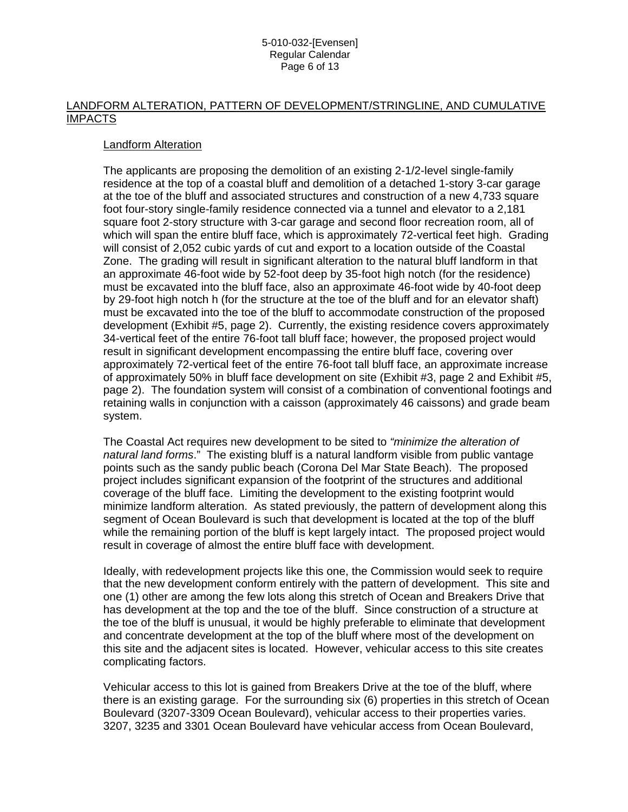# LANDFORM ALTERATION, PATTERN OF DEVELOPMENT/STRINGLINE, AND CUMULATIVE IMPACTS

## Landform Alteration

The applicants are proposing the demolition of an existing 2-1/2-level single-family residence at the top of a coastal bluff and demolition of a detached 1-story 3-car garage at the toe of the bluff and associated structures and construction of a new 4,733 square foot four-story single-family residence connected via a tunnel and elevator to a 2,181 square foot 2-story structure with 3-car garage and second floor recreation room, all of which will span the entire bluff face, which is approximately 72-vertical feet high. Grading will consist of 2,052 cubic yards of cut and export to a location outside of the Coastal Zone. The grading will result in significant alteration to the natural bluff landform in that an approximate 46-foot wide by 52-foot deep by 35-foot high notch (for the residence) must be excavated into the bluff face, also an approximate 46-foot wide by 40-foot deep by 29-foot high notch h (for the structure at the toe of the bluff and for an elevator shaft) must be excavated into the toe of the bluff to accommodate construction of the proposed development (Exhibit #5, page 2). Currently, the existing residence covers approximately 34-vertical feet of the entire 76-foot tall bluff face; however, the proposed project would result in significant development encompassing the entire bluff face, covering over approximately 72-vertical feet of the entire 76-foot tall bluff face, an approximate increase of approximately 50% in bluff face development on site (Exhibit #3, page 2 and Exhibit #5, page 2). The foundation system will consist of a combination of conventional footings and retaining walls in conjunction with a caisson (approximately 46 caissons) and grade beam system.

The Coastal Act requires new development to be sited to *"minimize the alteration of natural land forms*." The existing bluff is a natural landform visible from public vantage points such as the sandy public beach (Corona Del Mar State Beach). The proposed project includes significant expansion of the footprint of the structures and additional coverage of the bluff face. Limiting the development to the existing footprint would minimize landform alteration. As stated previously, the pattern of development along this segment of Ocean Boulevard is such that development is located at the top of the bluff while the remaining portion of the bluff is kept largely intact. The proposed project would result in coverage of almost the entire bluff face with development.

Ideally, with redevelopment projects like this one, the Commission would seek to require that the new development conform entirely with the pattern of development. This site and one (1) other are among the few lots along this stretch of Ocean and Breakers Drive that has development at the top and the toe of the bluff. Since construction of a structure at the toe of the bluff is unusual, it would be highly preferable to eliminate that development and concentrate development at the top of the bluff where most of the development on this site and the adjacent sites is located. However, vehicular access to this site creates complicating factors.

Vehicular access to this lot is gained from Breakers Drive at the toe of the bluff, where there is an existing garage. For the surrounding six (6) properties in this stretch of Ocean Boulevard (3207-3309 Ocean Boulevard), vehicular access to their properties varies. 3207, 3235 and 3301 Ocean Boulevard have vehicular access from Ocean Boulevard,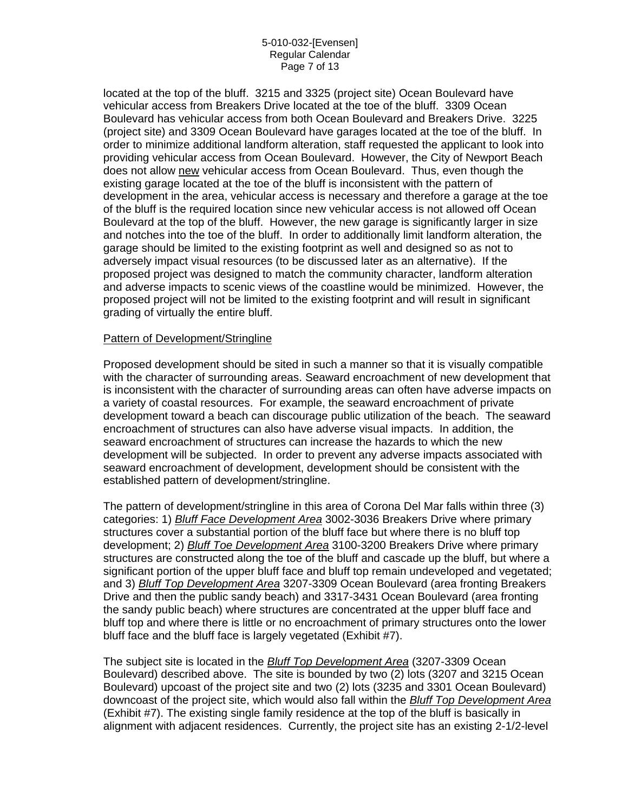#### 5-010-032-[Evensen] Regular Calendar Page 7 of 13

located at the top of the bluff. 3215 and 3325 (project site) Ocean Boulevard have vehicular access from Breakers Drive located at the toe of the bluff. 3309 Ocean Boulevard has vehicular access from both Ocean Boulevard and Breakers Drive. 3225 (project site) and 3309 Ocean Boulevard have garages located at the toe of the bluff. In order to minimize additional landform alteration, staff requested the applicant to look into providing vehicular access from Ocean Boulevard. However, the City of Newport Beach does not allow new vehicular access from Ocean Boulevard. Thus, even though the existing garage located at the toe of the bluff is inconsistent with the pattern of development in the area, vehicular access is necessary and therefore a garage at the toe of the bluff is the required location since new vehicular access is not allowed off Ocean Boulevard at the top of the bluff. However, the new garage is significantly larger in size and notches into the toe of the bluff. In order to additionally limit landform alteration, the garage should be limited to the existing footprint as well and designed so as not to adversely impact visual resources (to be discussed later as an alternative). If the proposed project was designed to match the community character, landform alteration and adverse impacts to scenic views of the coastline would be minimized. However, the proposed project will not be limited to the existing footprint and will result in significant grading of virtually the entire bluff.

## Pattern of Development/Stringline

Proposed development should be sited in such a manner so that it is visually compatible with the character of surrounding areas. Seaward encroachment of new development that is inconsistent with the character of surrounding areas can often have adverse impacts on a variety of coastal resources. For example, the seaward encroachment of private development toward a beach can discourage public utilization of the beach. The seaward encroachment of structures can also have adverse visual impacts. In addition, the seaward encroachment of structures can increase the hazards to which the new development will be subjected. In order to prevent any adverse impacts associated with seaward encroachment of development, development should be consistent with the established pattern of development/stringline.

The pattern of development/stringline in this area of Corona Del Mar falls within three (3) categories: 1) *Bluff Face Development Area* 3002-3036 Breakers Drive where primary structures cover a substantial portion of the bluff face but where there is no bluff top development; 2) *Bluff Toe Development Area* 3100-3200 Breakers Drive where primary structures are constructed along the toe of the bluff and cascade up the bluff, but where a significant portion of the upper bluff face and bluff top remain undeveloped and vegetated; and 3) *Bluff Top Development Area* 3207-3309 Ocean Boulevard (area fronting Breakers Drive and then the public sandy beach) and 3317-3431 Ocean Boulevard (area fronting the sandy public beach) where structures are concentrated at the upper bluff face and bluff top and where there is little or no encroachment of primary structures onto the lower bluff face and the bluff face is largely vegetated (Exhibit #7).

The subject site is located in the *Bluff Top Development Area* (3207-3309 Ocean Boulevard) described above. The site is bounded by two (2) lots (3207 and 3215 Ocean Boulevard) upcoast of the project site and two (2) lots (3235 and 3301 Ocean Boulevard) downcoast of the project site, which would also fall within the *Bluff Top Development Area* (Exhibit #7). The existing single family residence at the top of the bluff is basically in alignment with adjacent residences. Currently, the project site has an existing 2-1/2-level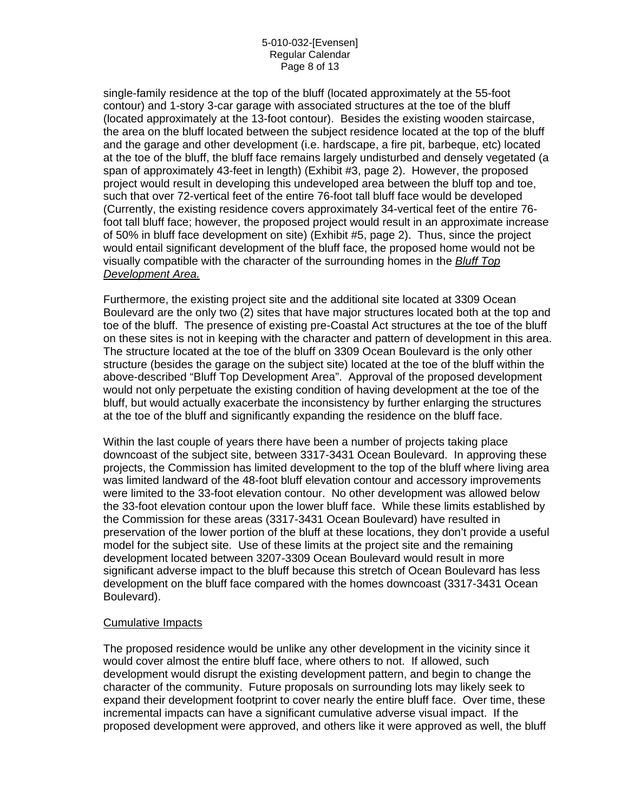#### 5-010-032-[Evensen] Regular Calendar Page 8 of 13

single-family residence at the top of the bluff (located approximately at the 55-foot contour) and 1-story 3-car garage with associated structures at the toe of the bluff (located approximately at the 13-foot contour). Besides the existing wooden staircase, the area on the bluff located between the subject residence located at the top of the bluff and the garage and other development (i.e. hardscape, a fire pit, barbeque, etc) located at the toe of the bluff, the bluff face remains largely undisturbed and densely vegetated (a span of approximately 43-feet in length) (Exhibit #3, page 2). However, the proposed project would result in developing this undeveloped area between the bluff top and toe, such that over 72-vertical feet of the entire 76-foot tall bluff face would be developed (Currently, the existing residence covers approximately 34-vertical feet of the entire 76 foot tall bluff face; however, the proposed project would result in an approximate increase of 50% in bluff face development on site) (Exhibit #5, page 2). Thus, since the project would entail significant development of the bluff face, the proposed home would not be visually compatible with the character of the surrounding homes in the *Bluff Top Development Area.*

Furthermore, the existing project site and the additional site located at 3309 Ocean Boulevard are the only two (2) sites that have major structures located both at the top and toe of the bluff. The presence of existing pre-Coastal Act structures at the toe of the bluff on these sites is not in keeping with the character and pattern of development in this area. The structure located at the toe of the bluff on 3309 Ocean Boulevard is the only other structure (besides the garage on the subject site) located at the toe of the bluff within the above-described "Bluff Top Development Area". Approval of the proposed development would not only perpetuate the existing condition of having development at the toe of the bluff, but would actually exacerbate the inconsistency by further enlarging the structures at the toe of the bluff and significantly expanding the residence on the bluff face.

Within the last couple of years there have been a number of projects taking place downcoast of the subject site, between 3317-3431 Ocean Boulevard. In approving these projects, the Commission has limited development to the top of the bluff where living area was limited landward of the 48-foot bluff elevation contour and accessory improvements were limited to the 33-foot elevation contour. No other development was allowed below the 33-foot elevation contour upon the lower bluff face. While these limits established by the Commission for these areas (3317-3431 Ocean Boulevard) have resulted in preservation of the lower portion of the bluff at these locations, they don't provide a useful model for the subject site. Use of these limits at the project site and the remaining development located between 3207-3309 Ocean Boulevard would result in more significant adverse impact to the bluff because this stretch of Ocean Boulevard has less development on the bluff face compared with the homes downcoast (3317-3431 Ocean Boulevard).

### Cumulative Impacts

The proposed residence would be unlike any other development in the vicinity since it would cover almost the entire bluff face, where others to not. If allowed, such development would disrupt the existing development pattern, and begin to change the character of the community. Future proposals on surrounding lots may likely seek to expand their development footprint to cover nearly the entire bluff face. Over time, these incremental impacts can have a significant cumulative adverse visual impact. If the proposed development were approved, and others like it were approved as well, the bluff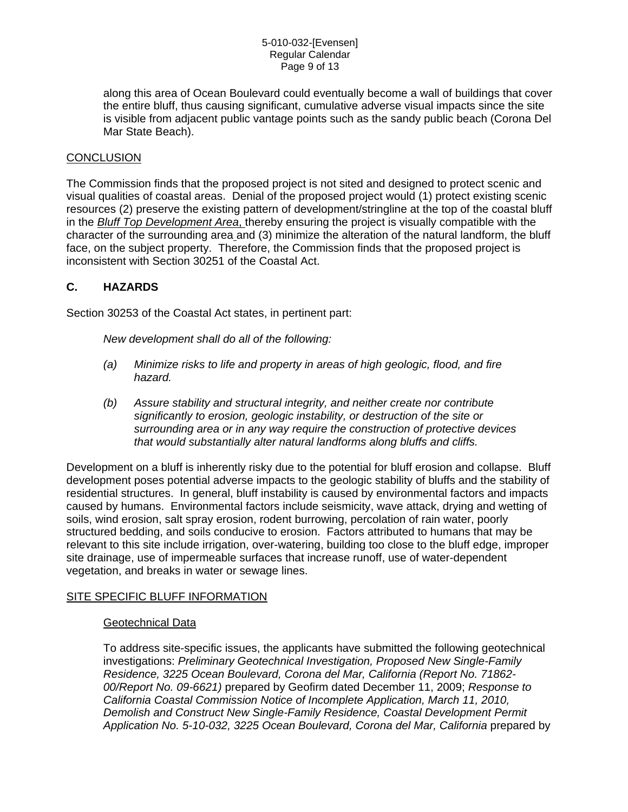along this area of Ocean Boulevard could eventually become a wall of buildings that cover the entire bluff, thus causing significant, cumulative adverse visual impacts since the site is visible from adjacent public vantage points such as the sandy public beach (Corona Del Mar State Beach).

# **CONCLUSION**

The Commission finds that the proposed project is not sited and designed to protect scenic and visual qualities of coastal areas. Denial of the proposed project would (1) protect existing scenic resources (2) preserve the existing pattern of development/stringline at the top of the coastal bluff in the *Bluff Top Development Area*, thereby ensuring the project is visually compatible with the character of the surrounding area and (3) minimize the alteration of the natural landform, the bluff face, on the subject property. Therefore, the Commission finds that the proposed project is inconsistent with Section 30251 of the Coastal Act.

# **C. HAZARDS**

Section 30253 of the Coastal Act states, in pertinent part:

*New development shall do all of the following:* 

- *(a) Minimize risks to life and property in areas of high geologic, flood, and fire hazard.*
- *(b) Assure stability and structural integrity, and neither create nor contribute significantly to erosion, geologic instability, or destruction of the site or surrounding area or in any way require the construction of protective devices that would substantially alter natural landforms along bluffs and cliffs.*

Development on a bluff is inherently risky due to the potential for bluff erosion and collapse. Bluff development poses potential adverse impacts to the geologic stability of bluffs and the stability of residential structures. In general, bluff instability is caused by environmental factors and impacts caused by humans. Environmental factors include seismicity, wave attack, drying and wetting of soils, wind erosion, salt spray erosion, rodent burrowing, percolation of rain water, poorly structured bedding, and soils conducive to erosion. Factors attributed to humans that may be relevant to this site include irrigation, over-watering, building too close to the bluff edge, improper site drainage, use of impermeable surfaces that increase runoff, use of water-dependent vegetation, and breaks in water or sewage lines.

# SITE SPECIFIC BLUFF INFORMATION

### Geotechnical Data

To address site-specific issues, the applicants have submitted the following geotechnical investigations: *Preliminary Geotechnical Investigation, Proposed New Single-Family Residence, 3225 Ocean Boulevard, Corona del Mar, California (Report No. 71862- 00/Report No. 09-6621)* prepared by Geofirm dated December 11, 2009; *Response to California Coastal Commission Notice of Incomplete Application, March 11, 2010, Demolish and Construct New Single-Family Residence, Coastal Development Permit Application No. 5-10-032, 3225 Ocean Boulevard, Corona del Mar, California* prepared by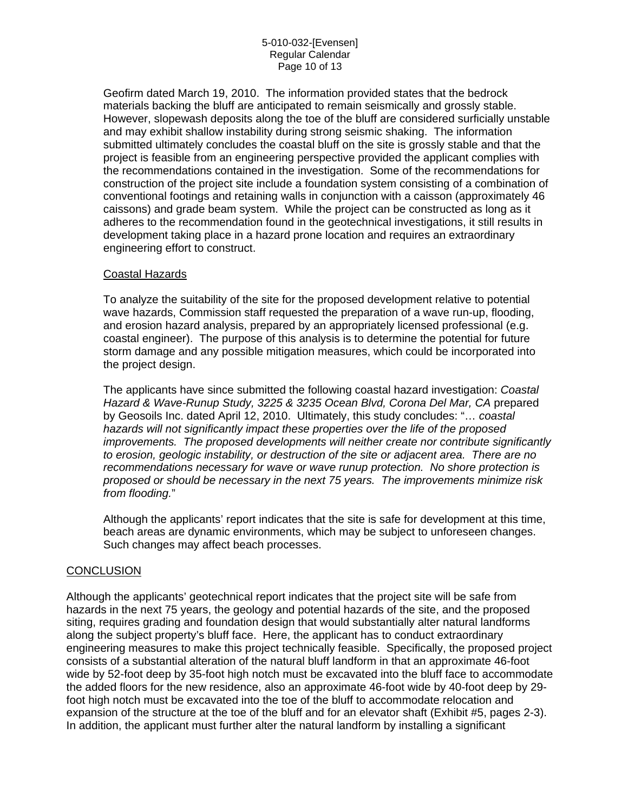Geofirm dated March 19, 2010. The information provided states that the bedrock materials backing the bluff are anticipated to remain seismically and grossly stable. However, slopewash deposits along the toe of the bluff are considered surficially unstable and may exhibit shallow instability during strong seismic shaking. The information submitted ultimately concludes the coastal bluff on the site is grossly stable and that the project is feasible from an engineering perspective provided the applicant complies with the recommendations contained in the investigation. Some of the recommendations for construction of the project site include a foundation system consisting of a combination of conventional footings and retaining walls in conjunction with a caisson (approximately 46 caissons) and grade beam system. While the project can be constructed as long as it adheres to the recommendation found in the geotechnical investigations, it still results in development taking place in a hazard prone location and requires an extraordinary engineering effort to construct.

## Coastal Hazards

To analyze the suitability of the site for the proposed development relative to potential wave hazards, Commission staff requested the preparation of a wave run-up, flooding, and erosion hazard analysis, prepared by an appropriately licensed professional (e.g. coastal engineer). The purpose of this analysis is to determine the potential for future storm damage and any possible mitigation measures, which could be incorporated into the project design.

The applicants have since submitted the following coastal hazard investigation: *Coastal Hazard & Wave-Runup Study, 3225 & 3235 Ocean Blvd, Corona Del Mar, CA* prepared by Geosoils Inc. dated April 12, 2010. Ultimately, this study concludes: "… *coastal hazards will not significantly impact these properties over the life of the proposed improvements. The proposed developments will neither create nor contribute significantly to erosion, geologic instability, or destruction of the site or adjacent area. There are no recommendations necessary for wave or wave runup protection. No shore protection is proposed or should be necessary in the next 75 years. The improvements minimize risk from flooding.*"

Although the applicants' report indicates that the site is safe for development at this time, beach areas are dynamic environments, which may be subject to unforeseen changes. Such changes may affect beach processes.

### **CONCLUSION**

Although the applicants' geotechnical report indicates that the project site will be safe from hazards in the next 75 years, the geology and potential hazards of the site, and the proposed siting, requires grading and foundation design that would substantially alter natural landforms along the subject property's bluff face. Here, the applicant has to conduct extraordinary engineering measures to make this project technically feasible. Specifically, the proposed project consists of a substantial alteration of the natural bluff landform in that an approximate 46-foot wide by 52-foot deep by 35-foot high notch must be excavated into the bluff face to accommodate the added floors for the new residence, also an approximate 46-foot wide by 40-foot deep by 29 foot high notch must be excavated into the toe of the bluff to accommodate relocation and expansion of the structure at the toe of the bluff and for an elevator shaft (Exhibit #5, pages 2-3). In addition, the applicant must further alter the natural landform by installing a significant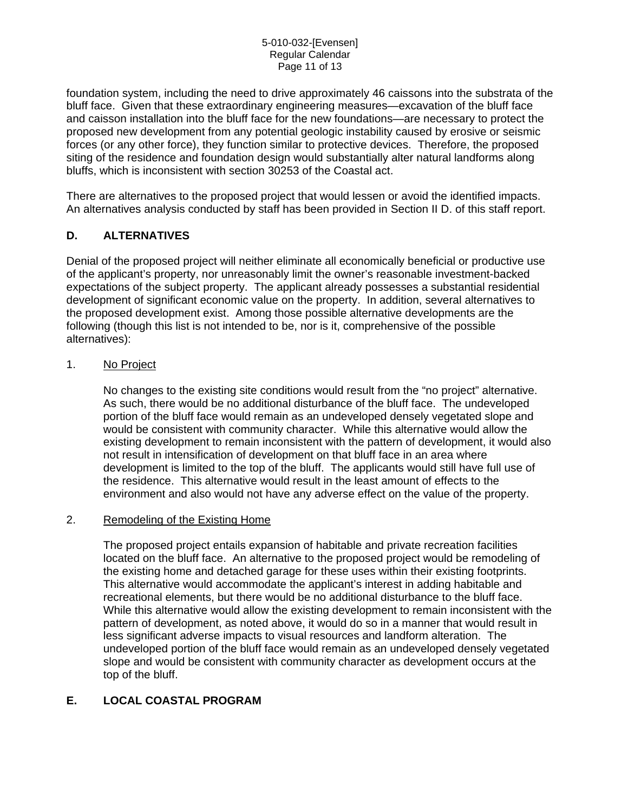foundation system, including the need to drive approximately 46 caissons into the substrata of the bluff face. Given that these extraordinary engineering measures—excavation of the bluff face and caisson installation into the bluff face for the new foundations—are necessary to protect the proposed new development from any potential geologic instability caused by erosive or seismic forces (or any other force), they function similar to protective devices. Therefore, the proposed siting of the residence and foundation design would substantially alter natural landforms along bluffs, which is inconsistent with section 30253 of the Coastal act.

There are alternatives to the proposed project that would lessen or avoid the identified impacts. An alternatives analysis conducted by staff has been provided in Section II D. of this staff report.

# **D. ALTERNATIVES**

Denial of the proposed project will neither eliminate all economically beneficial or productive use of the applicant's property, nor unreasonably limit the owner's reasonable investment-backed expectations of the subject property. The applicant already possesses a substantial residential development of significant economic value on the property. In addition, several alternatives to the proposed development exist. Among those possible alternative developments are the following (though this list is not intended to be, nor is it, comprehensive of the possible alternatives):

## 1. No Project

No changes to the existing site conditions would result from the "no project" alternative. As such, there would be no additional disturbance of the bluff face. The undeveloped portion of the bluff face would remain as an undeveloped densely vegetated slope and would be consistent with community character. While this alternative would allow the existing development to remain inconsistent with the pattern of development, it would also not result in intensification of development on that bluff face in an area where development is limited to the top of the bluff. The applicants would still have full use of the residence. This alternative would result in the least amount of effects to the environment and also would not have any adverse effect on the value of the property.

## 2. Remodeling of the Existing Home

The proposed project entails expansion of habitable and private recreation facilities located on the bluff face. An alternative to the proposed project would be remodeling of the existing home and detached garage for these uses within their existing footprints. This alternative would accommodate the applicant's interest in adding habitable and recreational elements, but there would be no additional disturbance to the bluff face. While this alternative would allow the existing development to remain inconsistent with the pattern of development, as noted above, it would do so in a manner that would result in less significant adverse impacts to visual resources and landform alteration. The undeveloped portion of the bluff face would remain as an undeveloped densely vegetated slope and would be consistent with community character as development occurs at the top of the bluff.

# **E. LOCAL COASTAL PROGRAM**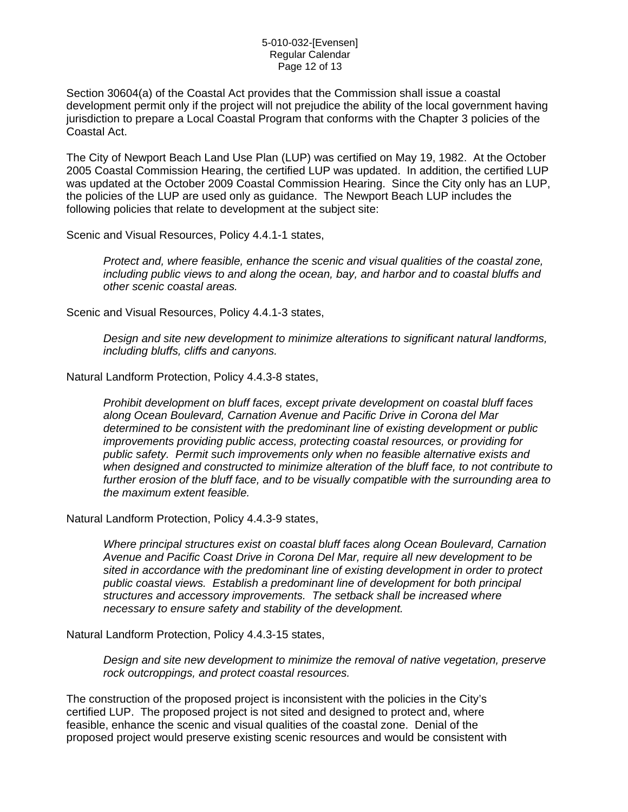Section 30604(a) of the Coastal Act provides that the Commission shall issue a coastal development permit only if the project will not prejudice the ability of the local government having jurisdiction to prepare a Local Coastal Program that conforms with the Chapter 3 policies of the Coastal Act.

The City of Newport Beach Land Use Plan (LUP) was certified on May 19, 1982. At the October 2005 Coastal Commission Hearing, the certified LUP was updated. In addition, the certified LUP was updated at the October 2009 Coastal Commission Hearing. Since the City only has an LUP, the policies of the LUP are used only as guidance. The Newport Beach LUP includes the following policies that relate to development at the subject site:

Scenic and Visual Resources, Policy 4.4.1-1 states,

*Protect and, where feasible, enhance the scenic and visual qualities of the coastal zone, including public views to and along the ocean, bay, and harbor and to coastal bluffs and other scenic coastal areas.* 

Scenic and Visual Resources, Policy 4.4.1-3 states,

*Design and site new development to minimize alterations to significant natural landforms, including bluffs, cliffs and canyons.* 

Natural Landform Protection, Policy 4.4.3-8 states,

*Prohibit development on bluff faces, except private development on coastal bluff faces along Ocean Boulevard, Carnation Avenue and Pacific Drive in Corona del Mar determined to be consistent with the predominant line of existing development or public improvements providing public access, protecting coastal resources, or providing for public safety. Permit such improvements only when no feasible alternative exists and when designed and constructed to minimize alteration of the bluff face, to not contribute to further erosion of the bluff face, and to be visually compatible with the surrounding area to the maximum extent feasible.* 

Natural Landform Protection, Policy 4.4.3-9 states,

*Where principal structures exist on coastal bluff faces along Ocean Boulevard, Carnation Avenue and Pacific Coast Drive in Corona Del Mar, require all new development to be sited in accordance with the predominant line of existing development in order to protect public coastal views. Establish a predominant line of development for both principal structures and accessory improvements. The setback shall be increased where necessary to ensure safety and stability of the development.*

Natural Landform Protection, Policy 4.4.3-15 states,

*Design and site new development to minimize the removal of native vegetation, preserve rock outcroppings, and protect coastal resources.* 

The construction of the proposed project is inconsistent with the policies in the City's certified LUP. The proposed project is not sited and designed to protect and, where feasible, enhance the scenic and visual qualities of the coastal zone. Denial of the proposed project would preserve existing scenic resources and would be consistent with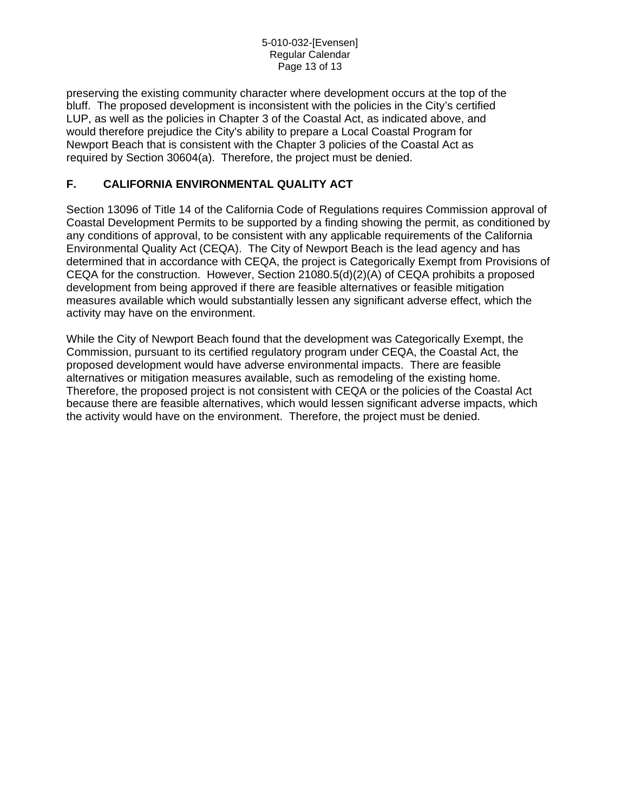preserving the existing community character where development occurs at the top of the bluff. The proposed development is inconsistent with the policies in the City's certified LUP, as well as the policies in Chapter 3 of the Coastal Act, as indicated above, and would therefore prejudice the City's ability to prepare a Local Coastal Program for Newport Beach that is consistent with the Chapter 3 policies of the Coastal Act as required by Section 30604(a). Therefore, the project must be denied.

# **F. CALIFORNIA ENVIRONMENTAL QUALITY ACT**

Section 13096 of Title 14 of the California Code of Regulations requires Commission approval of Coastal Development Permits to be supported by a finding showing the permit, as conditioned by any conditions of approval, to be consistent with any applicable requirements of the California Environmental Quality Act (CEQA). The City of Newport Beach is the lead agency and has determined that in accordance with CEQA, the project is Categorically Exempt from Provisions of CEQA for the construction. However, Section 21080.5(d)(2)(A) of CEQA prohibits a proposed development from being approved if there are feasible alternatives or feasible mitigation measures available which would substantially lessen any significant adverse effect, which the activity may have on the environment.

While the City of Newport Beach found that the development was Categorically Exempt, the Commission, pursuant to its certified regulatory program under CEQA, the Coastal Act, the proposed development would have adverse environmental impacts. There are feasible alternatives or mitigation measures available, such as remodeling of the existing home. Therefore, the proposed project is not consistent with CEQA or the policies of the Coastal Act because there are feasible alternatives, which would lessen significant adverse impacts, which the activity would have on the environment. Therefore, the project must be denied.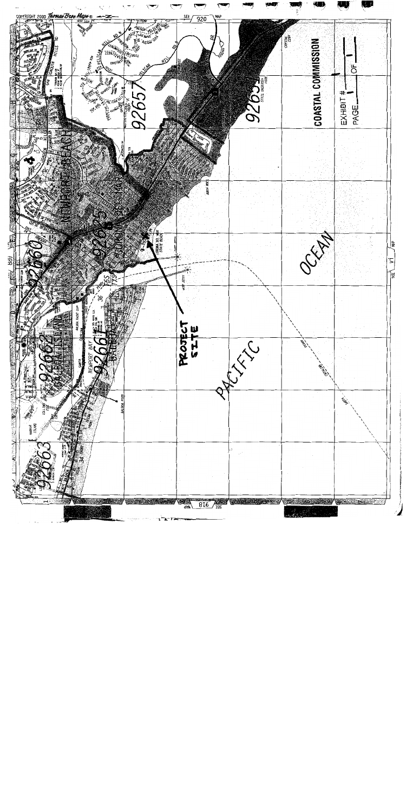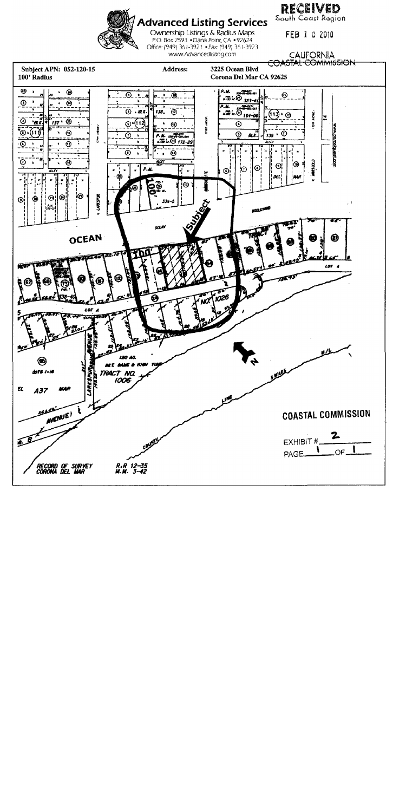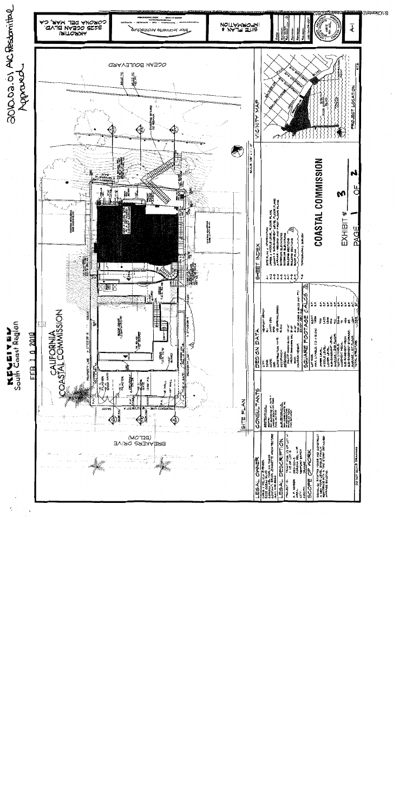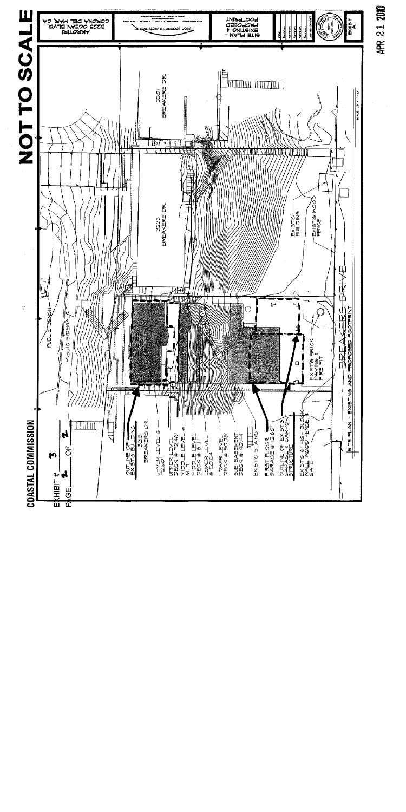

**APR 21 2010**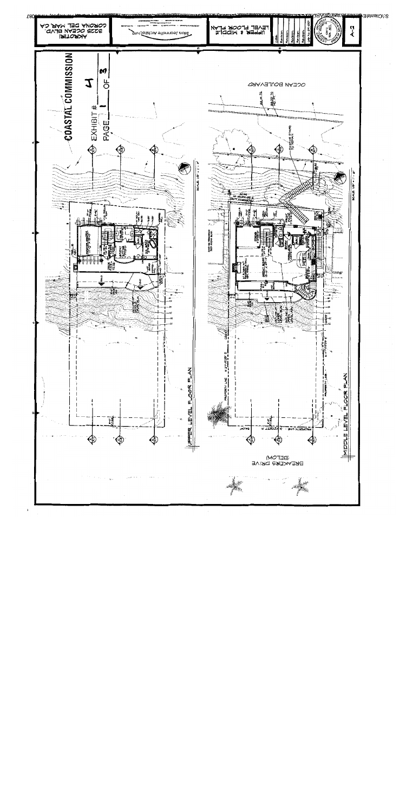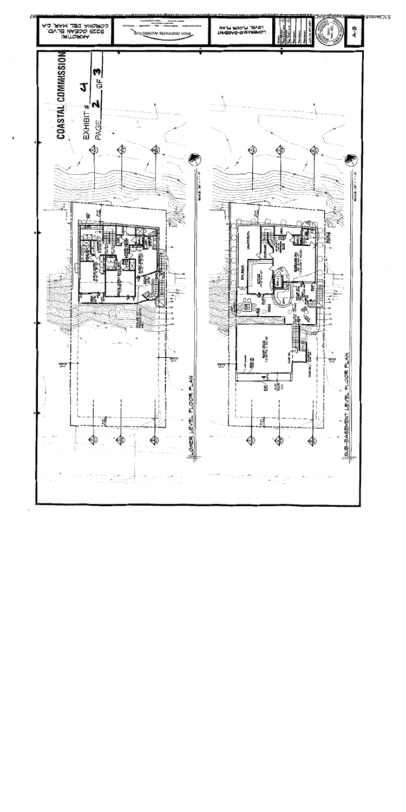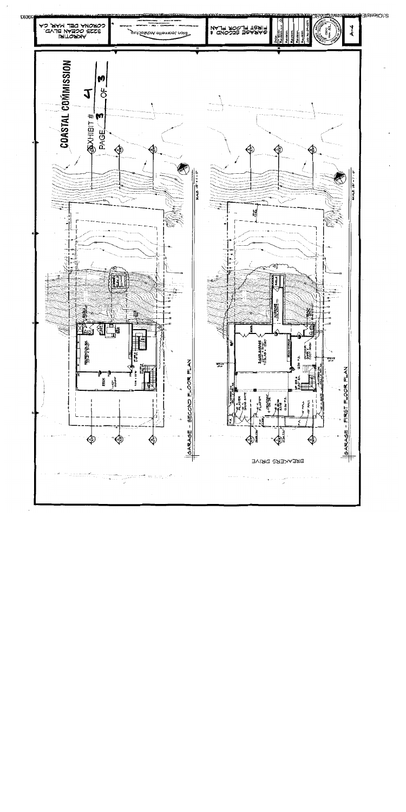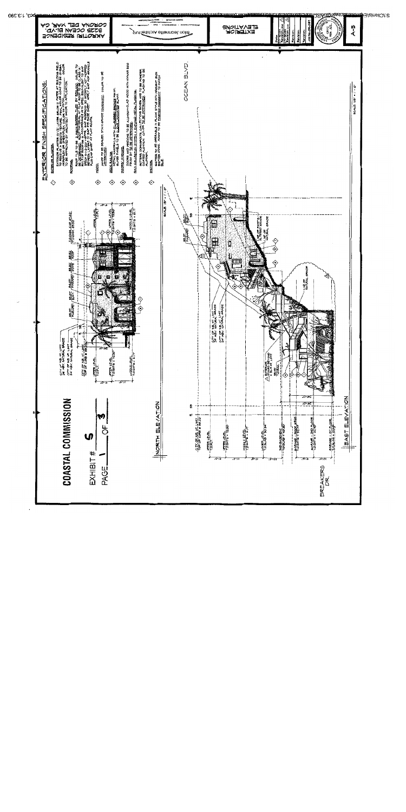

068.6:1.590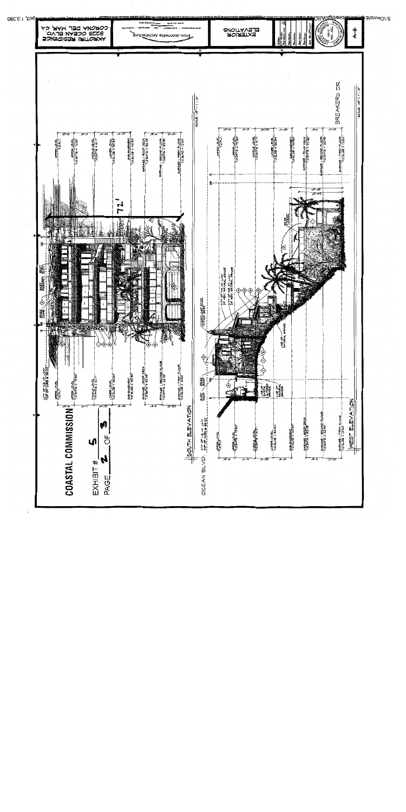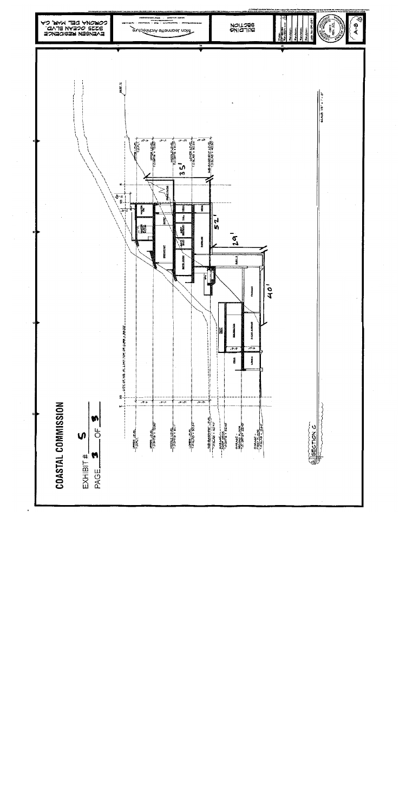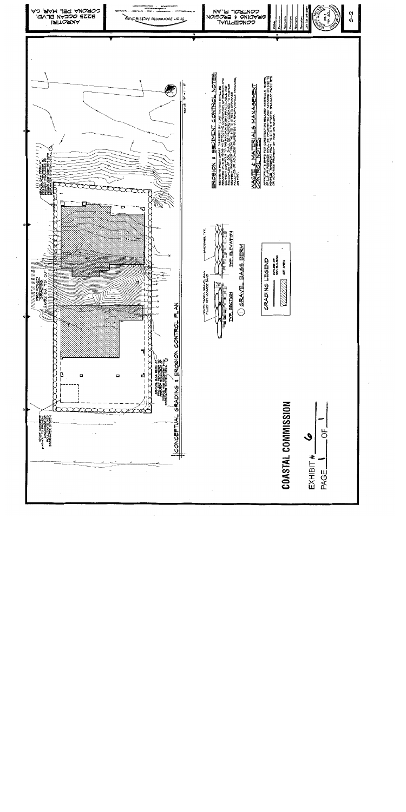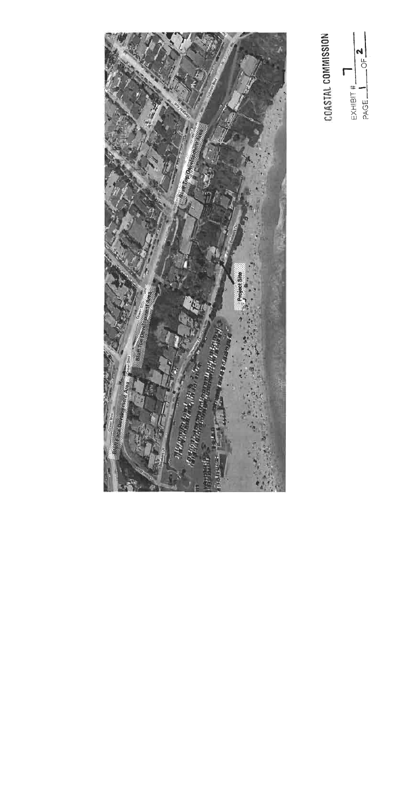**COMPA** en en de la politikula en la politikula en la politikula en la politikula en la politikula en la politikula en<br>La politikula en la politikula en la politikula en la politikula en la politikula en la politikula en la polit **Malifying the Content** 

COASTAL COMMISSION N Г EXHIBIT #\_<br>PAGE

 $\overline{5}$